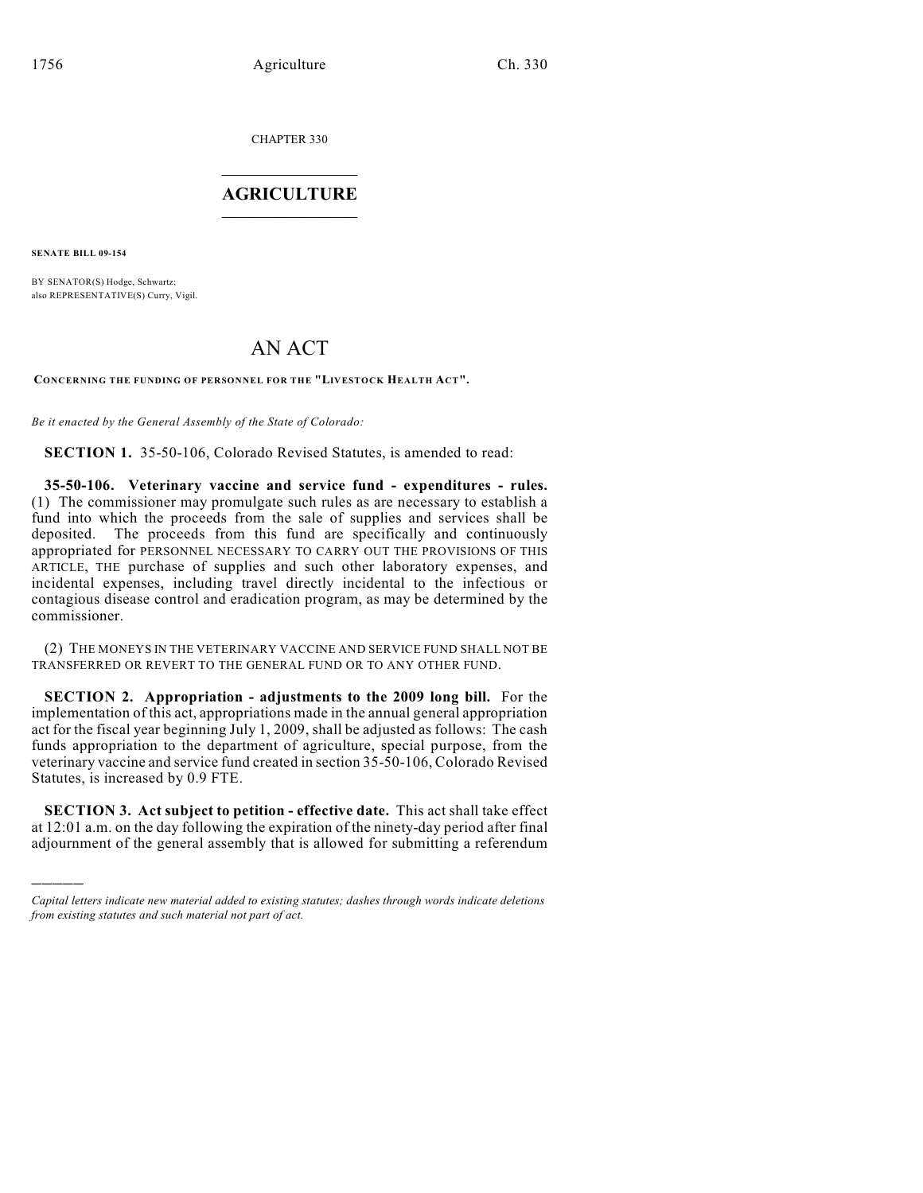CHAPTER 330

## $\overline{\phantom{a}}$  . The set of the set of the set of the set of the set of the set of the set of the set of the set of the set of the set of the set of the set of the set of the set of the set of the set of the set of the set o **AGRICULTURE**  $\_$   $\_$   $\_$   $\_$   $\_$   $\_$   $\_$   $\_$

**SENATE BILL 09-154**

)))))

BY SENATOR(S) Hodge, Schwartz; also REPRESENTATIVE(S) Curry, Vigil.

## AN ACT

**CONCERNING THE FUNDING OF PERSONNEL FOR THE "LIVESTOCK HEALTH ACT".**

*Be it enacted by the General Assembly of the State of Colorado:*

**SECTION 1.** 35-50-106, Colorado Revised Statutes, is amended to read:

**35-50-106. Veterinary vaccine and service fund - expenditures - rules.** (1) The commissioner may promulgate such rules as are necessary to establish a fund into which the proceeds from the sale of supplies and services shall be deposited. The proceeds from this fund are specifically and continuously appropriated for PERSONNEL NECESSARY TO CARRY OUT THE PROVISIONS OF THIS ARTICLE, THE purchase of supplies and such other laboratory expenses, and incidental expenses, including travel directly incidental to the infectious or contagious disease control and eradication program, as may be determined by the commissioner.

(2) THE MONEYS IN THE VETERINARY VACCINE AND SERVICE FUND SHALL NOT BE TRANSFERRED OR REVERT TO THE GENERAL FUND OR TO ANY OTHER FUND.

**SECTION 2. Appropriation - adjustments to the 2009 long bill.** For the implementation of this act, appropriations made in the annual general appropriation act for the fiscal year beginning July 1, 2009, shall be adjusted as follows: The cash funds appropriation to the department of agriculture, special purpose, from the veterinary vaccine and service fund created in section 35-50-106, Colorado Revised Statutes, is increased by 0.9 FTE.

**SECTION 3. Act subject to petition - effective date.** This act shall take effect at 12:01 a.m. on the day following the expiration of the ninety-day period after final adjournment of the general assembly that is allowed for submitting a referendum

*Capital letters indicate new material added to existing statutes; dashes through words indicate deletions from existing statutes and such material not part of act.*